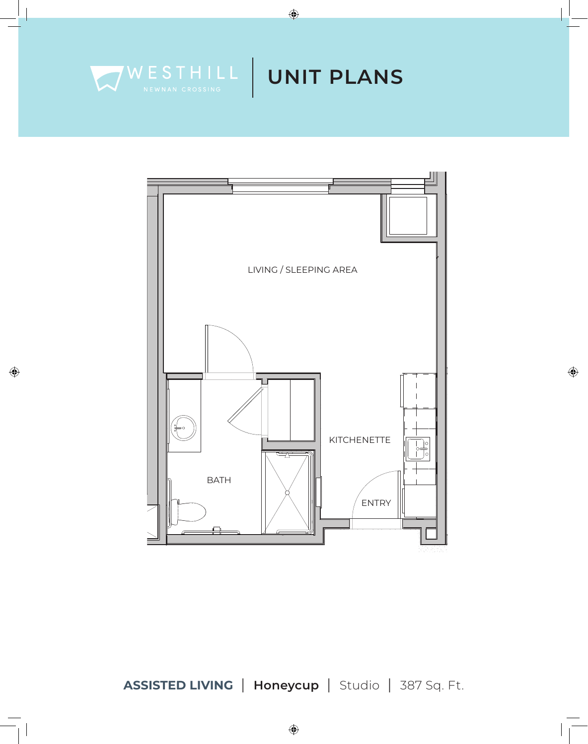

 $\bigoplus$ 



 $\bigoplus$ 

**ASSISTED LIVING** | **Honeycup** | Studio | 387 Sq. Ft.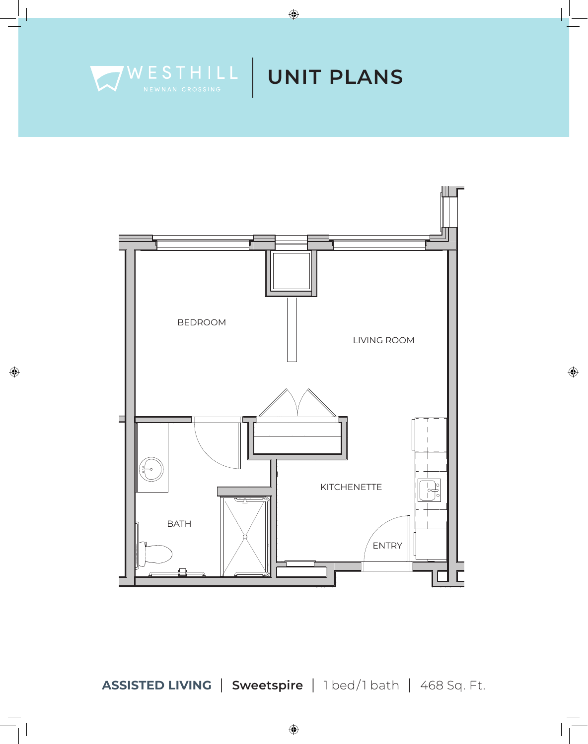



 $\bigoplus$ 



 $\bigoplus$ 

ASSISTED LIVING | Sweetspire | 1 bed/1 bath | 468 Sq. Ft.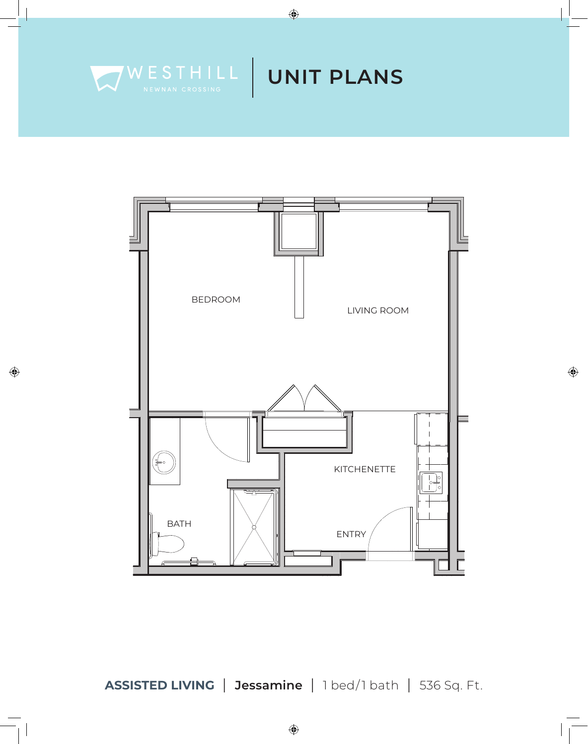

 $\bigoplus$ 



 $\bigoplus$ 

ASSISTED LIVING | Jessamine | 1 bed/1 bath | 536 Sq. Ft.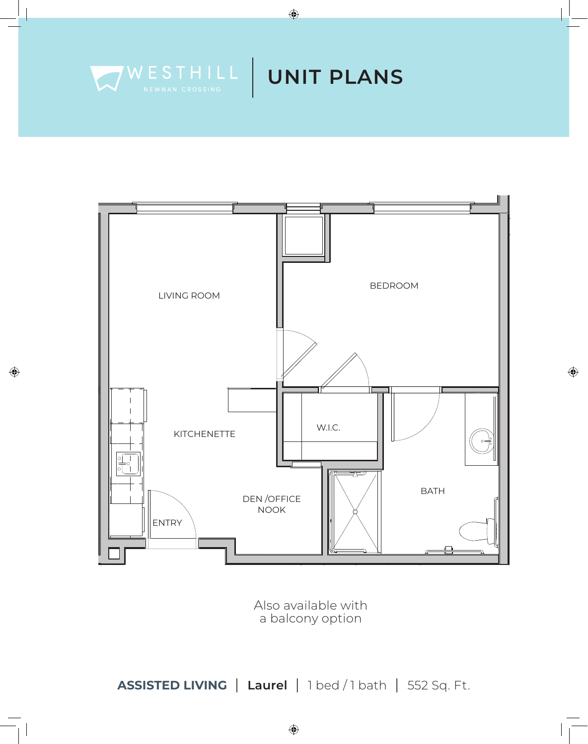



 $\bigoplus$ 



 $\bigoplus$ 

Also available with a balcony option

ASSISTED LIVING | Laurel | 1 bed / 1 bath | 552 Sq. Ft.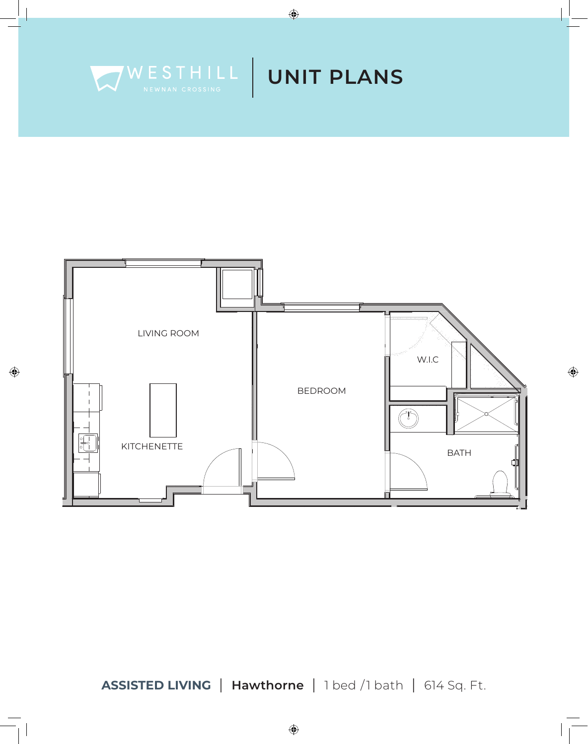



 $\bigoplus$ 

 $\bigoplus$ 

ASSISTED LIVING | Hawthorne | 1 bed / 1 bath | 614 Sq. Ft.

 $\bigoplus$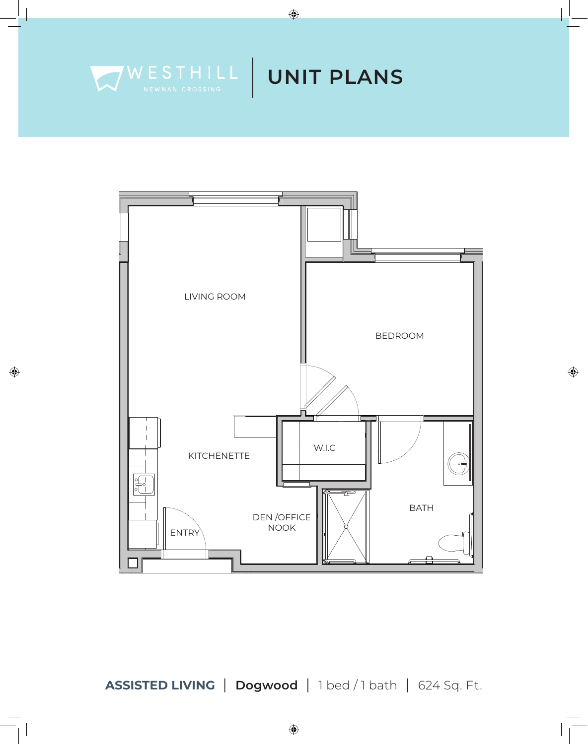

 $\bigoplus$ 

![](_page_5_Figure_2.jpeg)

 $\bigoplus$ 

ASSISTED LIVING | Dogwood | 1 bed / 1 bath | 624 Sq. Ft.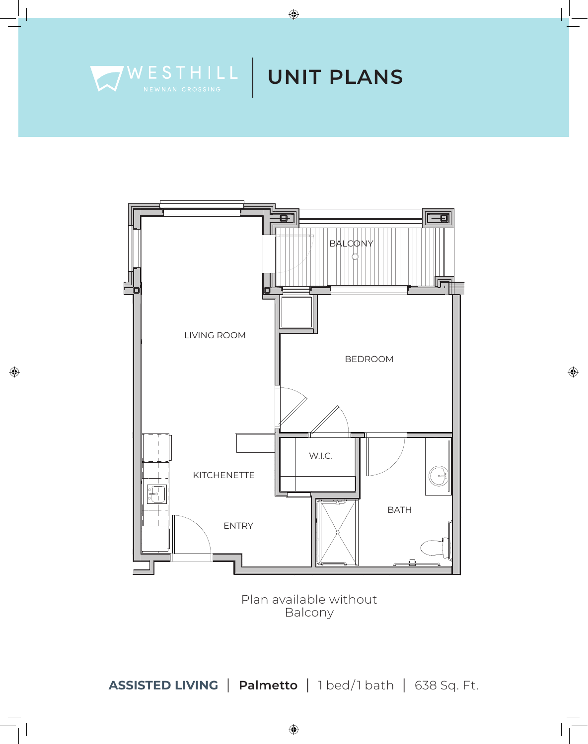![](_page_6_Picture_0.jpeg)

 $\bigoplus$ 

![](_page_6_Figure_2.jpeg)

 $\bigoplus$ 

Plan available without Balcony

ASSISTED LIVING | Palmetto | 1 bed/1 bath | 638 Sq. Ft.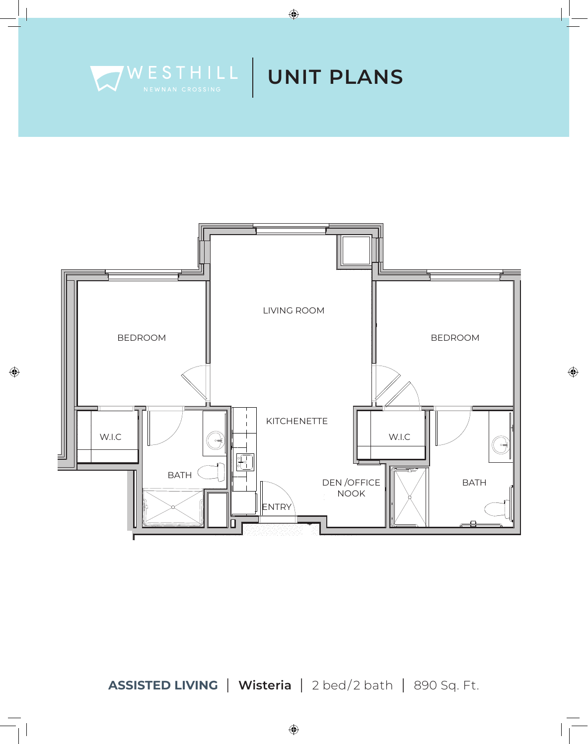![](_page_7_Picture_0.jpeg)

![](_page_7_Figure_1.jpeg)

 $\bigoplus$ 

 $\bigoplus$ 

ASSISTED LIVING | Wisteria | 2 bed/2 bath | 890 Sq. Ft.

 $\bigoplus$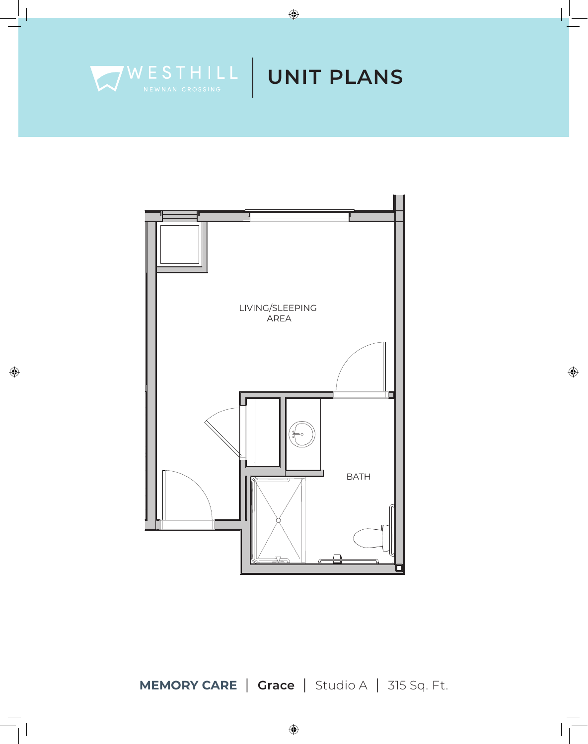![](_page_8_Picture_0.jpeg)

 $\bigoplus$ 

 $\bigoplus$ 

![](_page_8_Figure_2.jpeg)

**MEMORY CARE** | Grace | Studio A | 315 Sq. Ft.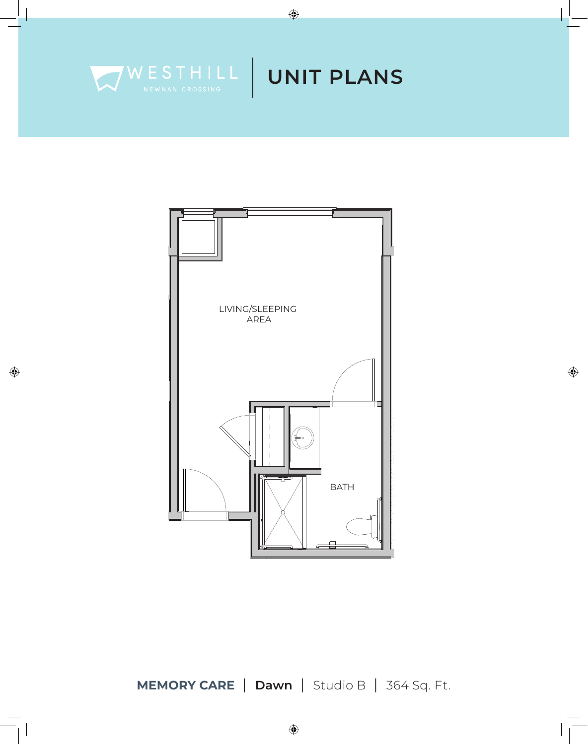![](_page_9_Picture_0.jpeg)

 $\bigoplus$ 

 $\bigoplus$ 

![](_page_9_Figure_2.jpeg)

**MEMORY CARE** | Dawn | Studio B | 364 Sq. Ft.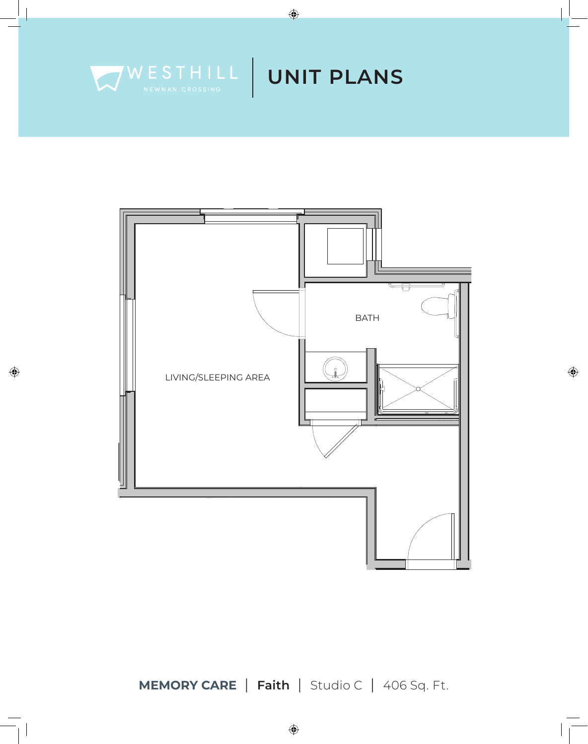![](_page_10_Picture_0.jpeg)

![](_page_10_Figure_1.jpeg)

 $\bigoplus$ 

![](_page_10_Figure_2.jpeg)

 $\bigoplus$ 

**MEMORY CARE** | Faith | Studio C | 406 Sq. Ft.